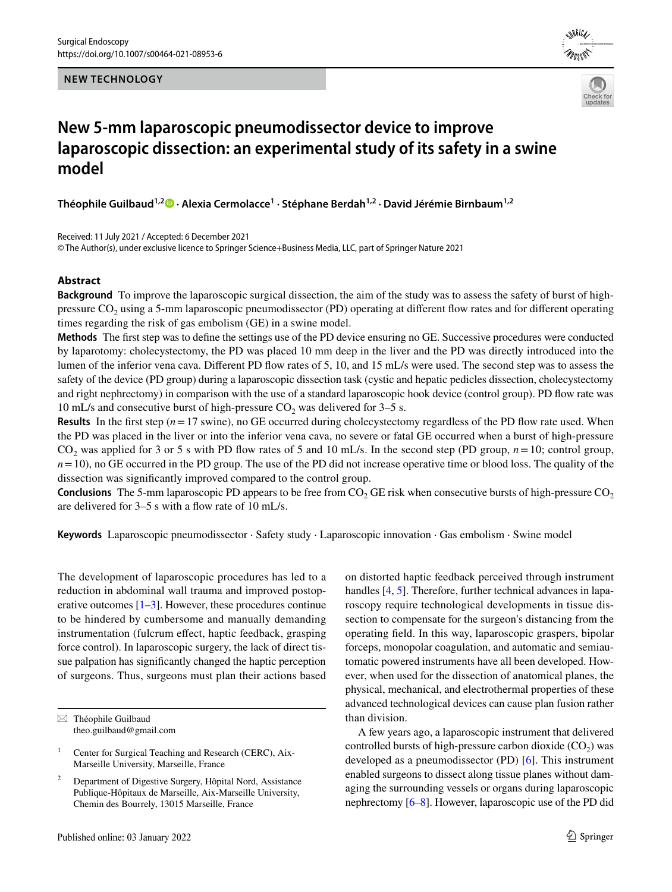**NEW TECHNOLOGY**





# **New 5-mm laparoscopic pneumodissector device to improve laparoscopic dissection: an experimental study of its safety in a swine model**

**Théophile Guilbaud1,[2](http://orcid.org/0000-0003-2141-5873) · Alexia Cermolacce1 · Stéphane Berdah1,2 · David Jérémie Birnbaum1,2**

Received: 11 July 2021 / Accepted: 6 December 2021 © The Author(s), under exclusive licence to Springer Science+Business Media, LLC, part of Springer Nature 2021

### **Abstract**

**Background** To improve the laparoscopic surgical dissection, the aim of the study was to assess the safety of burst of highpressure  $CO<sub>2</sub>$  using a 5-mm laparoscopic pneumodissector (PD) operating at different flow rates and for different operating times regarding the risk of gas embolism (GE) in a swine model.

**Methods** The first step was to define the settings use of the PD device ensuring no GE. Successive procedures were conducted by laparotomy: cholecystectomy, the PD was placed 10 mm deep in the liver and the PD was directly introduced into the lumen of the inferior vena cava. Different PD flow rates of 5, 10, and 15 mL/s were used. The second step was to assess the safety of the device (PD group) during a laparoscopic dissection task (cystic and hepatic pedicles dissection, cholecystectomy and right nephrectomy) in comparison with the use of a standard laparoscopic hook device (control group). PD flow rate was 10 mL/s and consecutive burst of high-pressure  $CO<sub>2</sub>$  was delivered for 3–5 s.

**Results** In the first step  $(n=17 \text{ swine})$ , no GE occurred during cholecystectomy regardless of the PD flow rate used. When the PD was placed in the liver or into the inferior vena cava, no severe or fatal GE occurred when a burst of high-pressure  $CO<sub>2</sub>$  was applied for 3 or 5 s with PD flow rates of 5 and 10 mL/s. In the second step (PD group,  $n=10$ ; control group,  $n=10$ ), no GE occurred in the PD group. The use of the PD did not increase operative time or blood loss. The quality of the dissection was significantly improved compared to the control group.

**Conclusions** The 5-mm laparoscopic PD appears to be free from  $CO<sub>2</sub>$  GE risk when consecutive bursts of high-pressure  $CO<sub>2</sub>$ are delivered for 3–5 s with a flow rate of 10 mL/s.

**Keywords** Laparoscopic pneumodissector · Safety study · Laparoscopic innovation · Gas embolism · Swine model

The development of laparoscopic procedures has led to a reduction in abdominal wall trauma and improved postoperative outcomes  $[1-3]$  $[1-3]$  $[1-3]$ . However, these procedures continue to be hindered by cumbersome and manually demanding instrumentation (fulcrum effect, haptic feedback, grasping force control). In laparoscopic surgery, the lack of direct tissue palpation has significantly changed the haptic perception of surgeons. Thus, surgeons must plan their actions based on distorted haptic feedback perceived through instrument handles [\[4](#page-7-2), [5\]](#page-8-0). Therefore, further technical advances in laparoscopy require technological developments in tissue dissection to compensate for the surgeon's distancing from the operating field. In this way, laparoscopic graspers, bipolar forceps, monopolar coagulation, and automatic and semiautomatic powered instruments have all been developed. However, when used for the dissection of anatomical planes, the physical, mechanical, and electrothermal properties of these advanced technological devices can cause plan fusion rather than division.

A few years ago, a laparoscopic instrument that delivered controlled bursts of high-pressure carbon dioxide  $(CO<sub>2</sub>)$  was developed as a pneumodissector (PD) [\[6](#page-8-1)]. This instrument enabled surgeons to dissect along tissue planes without damaging the surrounding vessels or organs during laparoscopic nephrectomy [[6–](#page-8-1)[8\]](#page-8-2). However, laparoscopic use of the PD did

 $\boxtimes$  Théophile Guilbaud theo.guilbaud@gmail.com

<sup>&</sup>lt;sup>1</sup> Center for Surgical Teaching and Research (CERC), Aix-Marseille University, Marseille, France

<sup>2</sup> Department of Digestive Surgery, Hôpital Nord, Assistance Publique-Hôpitaux de Marseille, Aix-Marseille University, Chemin des Bourrely, 13015 Marseille, France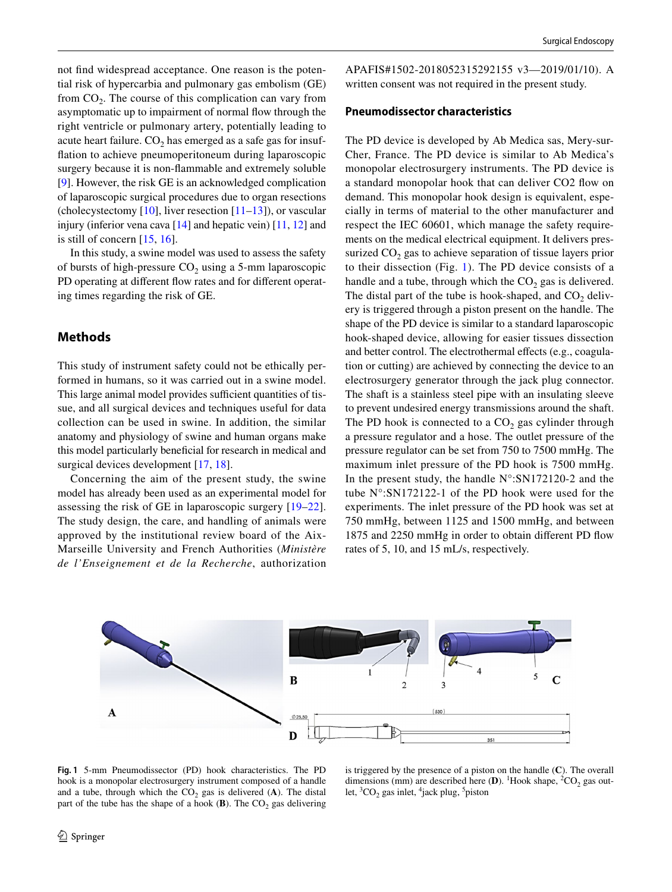not find widespread acceptance. One reason is the potential risk of hypercarbia and pulmonary gas embolism (GE) from  $CO<sub>2</sub>$ . The course of this complication can vary from asymptomatic up to impairment of normal flow through the right ventricle or pulmonary artery, potentially leading to acute heart failure.  $CO<sub>2</sub>$  has emerged as a safe gas for insufflation to achieve pneumoperitoneum during laparoscopic surgery because it is non-flammable and extremely soluble [\[9](#page-8-3)]. However, the risk GE is an acknowledged complication of laparoscopic surgical procedures due to organ resections (cholecystectomy  $[10]$  $[10]$ , liver resection  $[11–13]$  $[11–13]$  $[11–13]$ ), or vascular injury (inferior vena cava  $[14]$  $[14]$  and hepatic vein)  $[11, 12]$  $[11, 12]$  $[11, 12]$  $[11, 12]$  and is still of concern [[15,](#page-8-9) [16\]](#page-8-10).

In this study, a swine model was used to assess the safety of bursts of high-pressure  $CO<sub>2</sub>$  using a 5-mm laparoscopic PD operating at different flow rates and for different operating times regarding the risk of GE.

# **Methods**

This study of instrument safety could not be ethically performed in humans, so it was carried out in a swine model. This large animal model provides sufficient quantities of tissue, and all surgical devices and techniques useful for data collection can be used in swine. In addition, the similar anatomy and physiology of swine and human organs make this model particularly beneficial for research in medical and surgical devices development [[17,](#page-8-11) [18\]](#page-8-12).

Concerning the aim of the present study, the swine model has already been used as an experimental model for assessing the risk of GE in laparoscopic surgery [[19–](#page-8-13)[22](#page-8-14)]. The study design, the care, and handling of animals were approved by the institutional review board of the Aix-Marseille University and French Authorities (*Ministère de l'Enseignement et de la Recherche*, authorization

APAFIS#1502-2018052315292155 v3—2019/01/10). A written consent was not required in the present study.

### **Pneumodissector characteristics**

The PD device is developed by Ab Medica sas, Mery-sur-Cher, France. The PD device is similar to Ab Medica's monopolar electrosurgery instruments. The PD device is a standard monopolar hook that can deliver CO2 flow on demand. This monopolar hook design is equivalent, especially in terms of material to the other manufacturer and respect the IEC 60601, which manage the safety requirements on the medical electrical equipment. It delivers pressurized  $CO<sub>2</sub>$  gas to achieve separation of tissue layers prior to their dissection (Fig. [1\)](#page-1-0). The PD device consists of a handle and a tube, through which the  $CO<sub>2</sub>$  gas is delivered. The distal part of the tube is hook-shaped, and  $CO<sub>2</sub>$  delivery is triggered through a piston present on the handle. The shape of the PD device is similar to a standard laparoscopic hook-shaped device, allowing for easier tissues dissection and better control. The electrothermal effects (e.g., coagulation or cutting) are achieved by connecting the device to an electrosurgery generator through the jack plug connector. The shaft is a stainless steel pipe with an insulating sleeve to prevent undesired energy transmissions around the shaft. The PD hook is connected to a  $CO<sub>2</sub>$  gas cylinder through a pressure regulator and a hose. The outlet pressure of the pressure regulator can be set from 750 to 7500 mmHg. The maximum inlet pressure of the PD hook is 7500 mmHg. In the present study, the handle  $N^{\circ}$ :SN172120-2 and the tube N°:SN172122-1 of the PD hook were used for the experiments. The inlet pressure of the PD hook was set at 750 mmHg, between 1125 and 1500 mmHg, and between 1875 and 2250 mmHg in order to obtain different PD flow rates of 5, 10, and 15 mL/s, respectively.



<span id="page-1-0"></span>**Fig. 1** 5-mm Pneumodissector (PD) hook characteristics. The PD hook is a monopolar electrosurgery instrument composed of a handle and a tube, through which the  $CO<sub>2</sub>$  gas is delivered (A). The distal part of the tube has the shape of a hook  $(B)$ . The  $CO<sub>2</sub>$  gas delivering

is triggered by the presence of a piston on the handle (**C**). The overall dimensions (mm) are described here (**D**). <sup>1</sup>Hook shape, <sup>2</sup>CO<sub>2</sub> gas outlet,  ${}^3CO_2$  gas inlet,  ${}^4$ jack plug,  ${}^5$ piston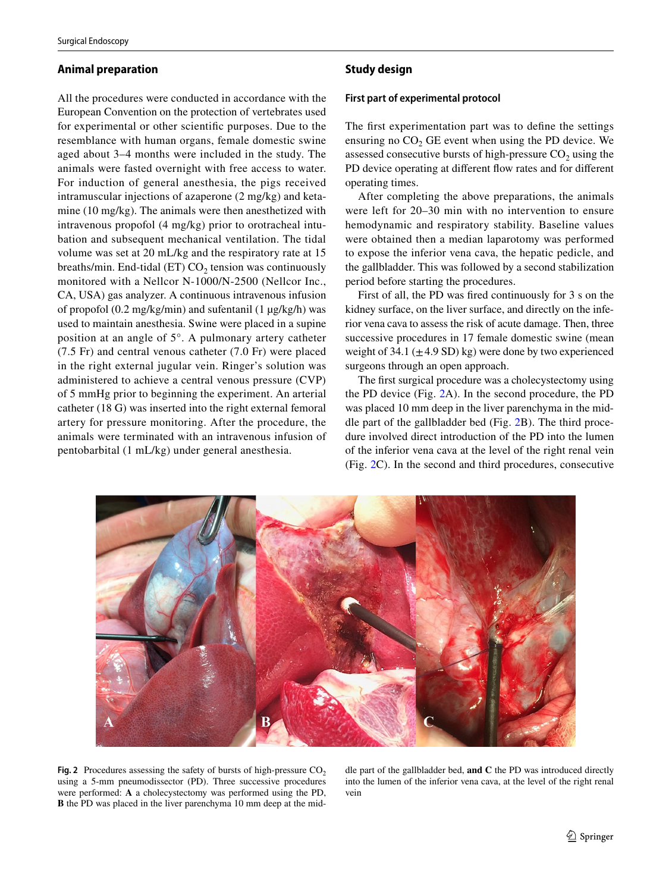#### **Animal preparation**

All the procedures were conducted in accordance with the European Convention on the protection of vertebrates used for experimental or other scientific purposes. Due to the resemblance with human organs, female domestic swine aged about 3–4 months were included in the study. The animals were fasted overnight with free access to water. For induction of general anesthesia, the pigs received intramuscular injections of azaperone (2 mg/kg) and ketamine (10 mg/kg). The animals were then anesthetized with intravenous propofol (4 mg/kg) prior to orotracheal intubation and subsequent mechanical ventilation. The tidal volume was set at 20 mL/kg and the respiratory rate at 15 breaths/min. End-tidal (ET)  $CO<sub>2</sub>$  tension was continuously monitored with a Nellcor N-1000/N-2500 (Nellcor Inc., CA, USA) gas analyzer. A continuous intravenous infusion of propofol  $(0.2 \text{ mg/kg/min})$  and sufentanil  $(1 \mu g/kg/h)$  was used to maintain anesthesia. Swine were placed in a supine position at an angle of 5°. A pulmonary artery catheter (7.5 Fr) and central venous catheter (7.0 Fr) were placed in the right external jugular vein. Ringer's solution was administered to achieve a central venous pressure (CVP) of 5 mmHg prior to beginning the experiment. An arterial catheter (18 G) was inserted into the right external femoral artery for pressure monitoring. After the procedure, the animals were terminated with an intravenous infusion of pentobarbital (1 mL/kg) under general anesthesia.

### **Study design**

#### **First part of experimental protocol**

The first experimentation part was to define the settings ensuring no  $CO<sub>2</sub>$  GE event when using the PD device. We assessed consecutive bursts of high-pressure  $CO<sub>2</sub>$  using the PD device operating at different flow rates and for different operating times.

After completing the above preparations, the animals were left for 20–30 min with no intervention to ensure hemodynamic and respiratory stability. Baseline values were obtained then a median laparotomy was performed to expose the inferior vena cava, the hepatic pedicle, and the gallbladder. This was followed by a second stabilization period before starting the procedures.

First of all, the PD was fired continuously for 3 s on the kidney surface, on the liver surface, and directly on the inferior vena cava to assess the risk of acute damage. Then, three successive procedures in 17 female domestic swine (mean weight of 34.1 ( $\pm$ 4.9 SD) kg) were done by two experienced surgeons through an open approach.

The first surgical procedure was a cholecystectomy using the PD device (Fig. [2A](#page-2-0)). In the second procedure, the PD was placed 10 mm deep in the liver parenchyma in the middle part of the gallbladder bed (Fig. [2B](#page-2-0)). The third procedure involved direct introduction of the PD into the lumen of the inferior vena cava at the level of the right renal vein (Fig. [2C](#page-2-0)). In the second and third procedures, consecutive



<span id="page-2-0"></span>**Fig. 2** Procedures assessing the safety of bursts of high-pressure  $CO<sub>2</sub>$ using a 5-mm pneumodissector (PD). Three successive procedures were performed: **A** a cholecystectomy was performed using the PD, **B** the PD was placed in the liver parenchyma 10 mm deep at the middle part of the gallbladder bed, **and C** the PD was introduced directly into the lumen of the inferior vena cava, at the level of the right renal vein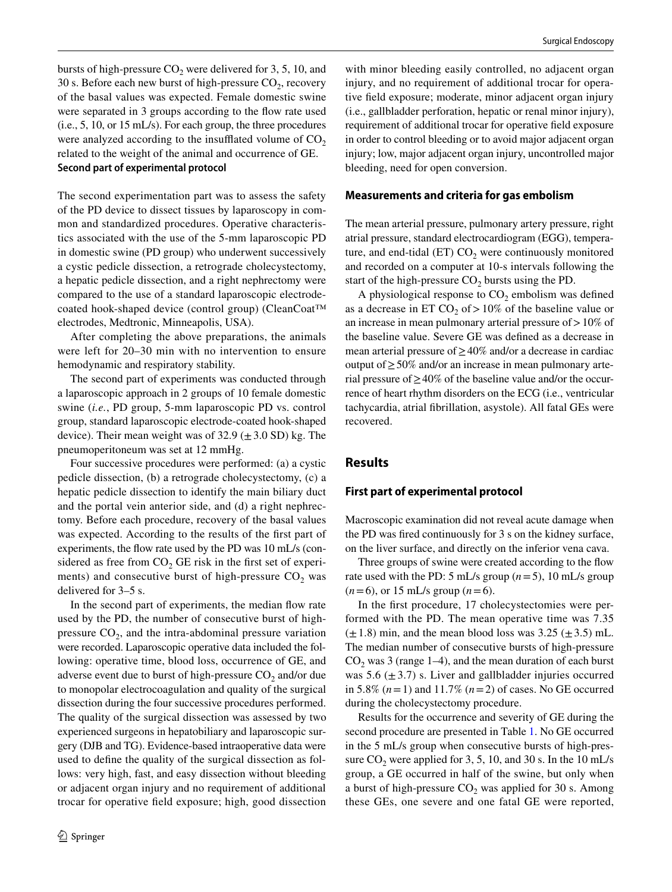bursts of high-pressure  $CO<sub>2</sub>$  were delivered for 3, 5, 10, and 30 s. Before each new burst of high-pressure  $CO<sub>2</sub>$ , recovery of the basal values was expected. Female domestic swine were separated in 3 groups according to the flow rate used (i.e., 5, 10, or 15 mL/s). For each group, the three procedures were analyzed according to the insufflated volume of  $CO<sub>2</sub>$ related to the weight of the animal and occurrence of GE. **Second part of experimental protocol**

The second experimentation part was to assess the safety of the PD device to dissect tissues by laparoscopy in common and standardized procedures. Operative characteristics associated with the use of the 5-mm laparoscopic PD in domestic swine (PD group) who underwent successively a cystic pedicle dissection, a retrograde cholecystectomy, a hepatic pedicle dissection, and a right nephrectomy were compared to the use of a standard laparoscopic electrodecoated hook-shaped device (control group) (CleanCoat™ electrodes, Medtronic, Minneapolis, USA).

After completing the above preparations, the animals were left for 20–30 min with no intervention to ensure hemodynamic and respiratory stability.

The second part of experiments was conducted through a laparoscopic approach in 2 groups of 10 female domestic swine (*i.e.*, PD group, 5-mm laparoscopic PD vs. control group, standard laparoscopic electrode-coated hook-shaped device). Their mean weight was of  $32.9 \ (\pm 3.0 \text{ SD}) \text{ kg}$ . The pneumoperitoneum was set at 12 mmHg.

Four successive procedures were performed: (a) a cystic pedicle dissection, (b) a retrograde cholecystectomy, (c) a hepatic pedicle dissection to identify the main biliary duct and the portal vein anterior side, and (d) a right nephrectomy. Before each procedure, recovery of the basal values was expected. According to the results of the first part of experiments, the flow rate used by the PD was 10 mL/s (considered as free from  $CO<sub>2</sub>$  GE risk in the first set of experiments) and consecutive burst of high-pressure  $CO<sub>2</sub>$  was delivered for 3–5 s.

In the second part of experiments, the median flow rate used by the PD, the number of consecutive burst of highpressure  $CO<sub>2</sub>$ , and the intra-abdominal pressure variation were recorded. Laparoscopic operative data included the following: operative time, blood loss, occurrence of GE, and adverse event due to burst of high-pressure  $CO<sub>2</sub>$  and/or due to monopolar electrocoagulation and quality of the surgical dissection during the four successive procedures performed. The quality of the surgical dissection was assessed by two experienced surgeons in hepatobiliary and laparoscopic surgery (DJB and TG). Evidence-based intraoperative data were used to define the quality of the surgical dissection as follows: very high, fast, and easy dissection without bleeding or adjacent organ injury and no requirement of additional trocar for operative field exposure; high, good dissection

with minor bleeding easily controlled, no adjacent organ injury, and no requirement of additional trocar for operative field exposure; moderate, minor adjacent organ injury (i.e., gallbladder perforation, hepatic or renal minor injury), requirement of additional trocar for operative field exposure in order to control bleeding or to avoid major adjacent organ injury; low, major adjacent organ injury, uncontrolled major bleeding, need for open conversion.

### **Measurements and criteria for gas embolism**

The mean arterial pressure, pulmonary artery pressure, right atrial pressure, standard electrocardiogram (EGG), temperature, and end-tidal  $(ET) CO<sub>2</sub>$  were continuously monitored and recorded on a computer at 10-s intervals following the start of the high-pressure  $CO<sub>2</sub>$  bursts using the PD.

A physiological response to  $CO<sub>2</sub>$  embolism was defined as a decrease in ET  $CO<sub>2</sub>$  of > 10% of the baseline value or an increase in mean pulmonary arterial pressure of  $>10\%$  of the baseline value. Severe GE was defined as a decrease in mean arterial pressure of≥40% and/or a decrease in cardiac output of≥50% and/or an increase in mean pulmonary arterial pressure of≥40% of the baseline value and/or the occurrence of heart rhythm disorders on the ECG (i.e., ventricular tachycardia, atrial fibrillation, asystole). All fatal GEs were recovered.

# **Results**

# **First part of experimental protocol**

Macroscopic examination did not reveal acute damage when the PD was fired continuously for 3 s on the kidney surface, on the liver surface, and directly on the inferior vena cava.

Three groups of swine were created according to the flow rate used with the PD: 5 mL/s group  $(n=5)$ , 10 mL/s group  $(n=6)$ , or 15 mL/s group  $(n=6)$ .

In the first procedure, 17 cholecystectomies were performed with the PD. The mean operative time was 7.35  $(\pm 1.8)$  min, and the mean blood loss was 3.25  $(\pm 3.5)$  mL. The median number of consecutive bursts of high-pressure  $CO<sub>2</sub>$  was 3 (range 1–4), and the mean duration of each burst was 5.6  $(\pm 3.7)$  s. Liver and gallbladder injuries occurred in 5.8% (*n*=1) and 11.7% (*n*=2) of cases. No GE occurred during the cholecystectomy procedure.

Results for the occurrence and severity of GE during the second procedure are presented in Table [1.](#page-4-0) No GE occurred in the 5 mL/s group when consecutive bursts of high-pressure  $CO<sub>2</sub>$  were applied for 3, 5, 10, and 30 s. In the 10 mL/s group, a GE occurred in half of the swine, but only when a burst of high-pressure  $CO<sub>2</sub>$  was applied for 30 s. Among these GEs, one severe and one fatal GE were reported,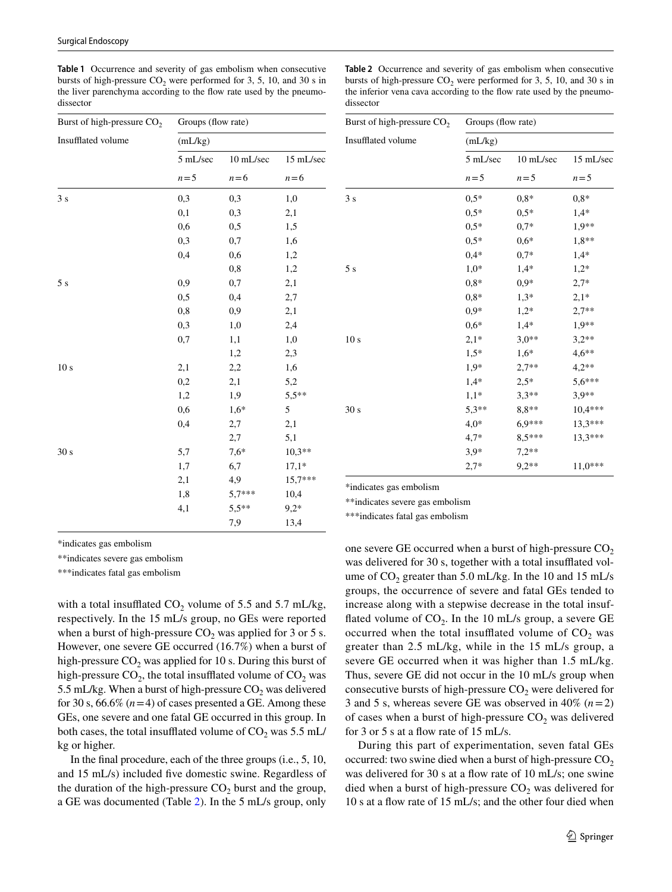<span id="page-4-0"></span>**Table 1** Occurrence and severity of gas embolism when consecutive bursts of high-pressure  $CO<sub>2</sub>$  were performed for 3, 5, 10, and 30 s in the liver parenchyma according to the flow rate used by the pneumodissector

<span id="page-4-1"></span>**Table 2** Occurrence and severity of gas embolism when consecutive bursts of high-pressure  $CO<sub>2</sub>$  were performed for 3, 5, 10, and 30 s in the inferior vena cava according to the flow rate used by the pneumodissector

Burst of high-pressure  $CO<sub>2</sub>$  Groups (flow rate)

| Burst of high-pressure CO <sub>2</sub> | Groups (flow rate) |           |           |  |  |  |  |
|----------------------------------------|--------------------|-----------|-----------|--|--|--|--|
| Insufflated volume                     | (mL/kg)            |           |           |  |  |  |  |
|                                        | 5 mL/sec           | 10 mL/sec | 15 mL/sec |  |  |  |  |
|                                        | $n = 5$            | $n=6$     | $n=6$     |  |  |  |  |
| 3s                                     | 0,3                | 0,3       | 1,0       |  |  |  |  |
|                                        | 0,1                | 0,3       | 2,1       |  |  |  |  |
|                                        | 0,6                | 0,5       | 1,5       |  |  |  |  |
|                                        | 0,3                | 0,7       | 1,6       |  |  |  |  |
|                                        | 0,4                | 0,6       | 1,2       |  |  |  |  |
|                                        |                    | 0,8       | 1,2       |  |  |  |  |
| 5s                                     | 0,9                | 0,7       | 2,1       |  |  |  |  |
|                                        | 0, 5               | 0,4       | 2,7       |  |  |  |  |
|                                        | 0,8                | 0,9       | 2,1       |  |  |  |  |
|                                        | 0,3                | 1,0       | 2,4       |  |  |  |  |
|                                        | 0,7                | 1,1       | 1,0       |  |  |  |  |
|                                        |                    | 1,2       | 2,3       |  |  |  |  |
| 10 <sub>s</sub>                        | 2,1                | 2,2       | 1,6       |  |  |  |  |
|                                        | 0,2                | 2,1       | 5,2       |  |  |  |  |
|                                        | 1,2                | 1,9       | $5,5**$   |  |  |  |  |
|                                        | 0,6                | $1,6*$    | 5         |  |  |  |  |
|                                        | 0,4                | 2,7       | 2,1       |  |  |  |  |
|                                        |                    | 2,7       | 5,1       |  |  |  |  |
| 30 s                                   | 5,7                | $7,6*$    | $10,3**$  |  |  |  |  |
|                                        | 1,7                | 6,7       | $17,1*$   |  |  |  |  |
|                                        | 2,1                | 4,9       | $15,7***$ |  |  |  |  |
|                                        | 1,8                | $5,7***$  | 10,4      |  |  |  |  |
|                                        | 4,1                | $5,5**$   | $9,2*$    |  |  |  |  |
|                                        |                    | 7,9       | 13,4      |  |  |  |  |

| Insufflated volume | (mL/kg)  |           |                    |  |  |  |  |
|--------------------|----------|-----------|--------------------|--|--|--|--|
|                    | 5 mL/sec | 10 mL/sec | 15 mL/sec<br>$n=5$ |  |  |  |  |
|                    | $n = 5$  | $n=5$     |                    |  |  |  |  |
| 3s                 | $0,5*$   | $0,8*$    | $0,8*$             |  |  |  |  |
|                    | $0,5*$   | $0.5*$    | $1,4*$             |  |  |  |  |
|                    | $0,5*$   | $0,7*$    | $1,9**$            |  |  |  |  |
|                    | $0,5*$   | $0,6*$    | $1,8**$            |  |  |  |  |
|                    | $0,4*$   | $0,7*$    | $1,4*$             |  |  |  |  |
| 5s                 | $1,0*$   | $1,4*$    | $1,2*$             |  |  |  |  |
|                    | $0,8*$   | $0,9*$    | $2,7*$             |  |  |  |  |
|                    | $0,8*$   | $1,3*$    | $2,1*$             |  |  |  |  |
|                    | $0,9*$   | $1,2*$    | $2,7**$            |  |  |  |  |
|                    | $0,6*$   | $1,4*$    | 1,9**              |  |  |  |  |
| 10 <sub>s</sub>    | $2,1*$   | $3,0**$   | $3,2**$            |  |  |  |  |
|                    | $1,5*$   | $1,6*$    | $4,6**$            |  |  |  |  |
|                    | $1,9*$   | $2,7**$   | $4,2**$            |  |  |  |  |
|                    | $1,4*$   | $2,5*$    | $5,6***$           |  |  |  |  |
|                    | $1,1*$   | $3,3**$   | $3,9**$            |  |  |  |  |
| 30 <sub>s</sub>    | $5,3**$  | $8,8**$   | $10,4***$          |  |  |  |  |
|                    | $4,0*$   | $6.9***$  | 13,3***            |  |  |  |  |
|                    | $4,7*$   | 8,5***    | 13,3***            |  |  |  |  |
|                    | $3,9*$   | $7,2**$   |                    |  |  |  |  |
|                    | $2,7*$   | $9.2**$   | $11,0***$          |  |  |  |  |

\*indicates gas embolism

\*\*indicates severe gas embolism

\*\*\*indicates fatal gas embolism

\*indicates gas embolism

\*\*indicates severe gas embolism

\*\*\*indicates fatal gas embolism

with a total insufflated  $CO_2$  volume of 5.5 and 5.7 mL/kg, respectively. In the 15 mL/s group, no GEs were reported when a burst of high-pressure  $CO<sub>2</sub>$  was applied for 3 or 5 s. However, one severe GE occurred (16.7%) when a burst of high-pressure  $CO<sub>2</sub>$  was applied for 10 s. During this burst of high-pressure  $CO<sub>2</sub>$ , the total insufflated volume of  $CO<sub>2</sub>$  was 5.5 mL/kg. When a burst of high-pressure  $CO<sub>2</sub>$  was delivered for 30 s,  $66.6\%$  ( $n=4$ ) of cases presented a GE. Among these GEs, one severe and one fatal GE occurred in this group. In both cases, the total insufflated volume of  $CO_2$  was 5.5 mL/ kg or higher.

In the final procedure, each of the three groups (i.e., 5, 10, and 15 mL/s) included five domestic swine. Regardless of the duration of the high-pressure  $CO<sub>2</sub>$  burst and the group, a GE was documented (Table [2](#page-4-1)). In the 5 mL/s group, only

one severe GE occurred when a burst of high-pressure  $CO<sub>2</sub>$ was delivered for 30 s, together with a total insufflated volume of  $CO_2$  greater than 5.0 mL/kg. In the 10 and 15 mL/s groups, the occurrence of severe and fatal GEs tended to increase along with a stepwise decrease in the total insufflated volume of  $CO<sub>2</sub>$ . In the 10 mL/s group, a severe GE occurred when the total insufflated volume of  $CO<sub>2</sub>$  was greater than 2.5 mL/kg, while in the 15 mL/s group, a severe GE occurred when it was higher than 1.5 mL/kg. Thus, severe GE did not occur in the 10 mL/s group when consecutive bursts of high-pressure  $CO<sub>2</sub>$  were delivered for 3 and 5 s, whereas severe GE was observed in  $40\%$   $(n=2)$ of cases when a burst of high-pressure  $CO<sub>2</sub>$  was delivered for 3 or 5 s at a flow rate of 15 mL/s.

During this part of experimentation, seven fatal GEs occurred: two swine died when a burst of high-pressure  $CO<sub>2</sub>$ was delivered for 30 s at a flow rate of 10 mL/s; one swine died when a burst of high-pressure  $CO<sub>2</sub>$  was delivered for 10 s at a flow rate of 15 mL/s; and the other four died when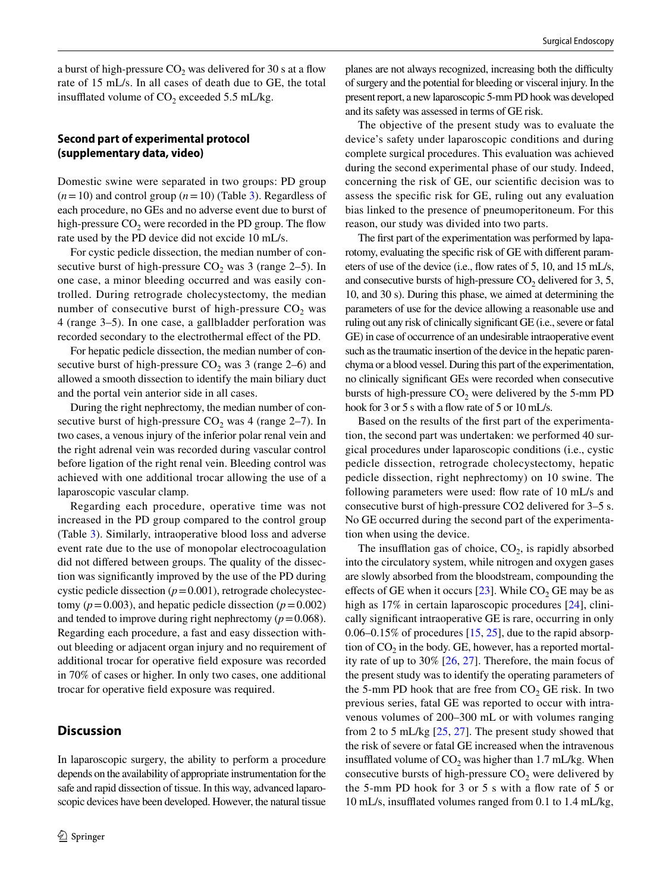a burst of high-pressure  $CO<sub>2</sub>$  was delivered for 30 s at a flow rate of 15 mL/s. In all cases of death due to GE, the total insufflated volume of  $CO<sub>2</sub>$  exceeded 5.5 mL/kg.

### **Second part of experimental protocol (supplementary data, video)**

Domestic swine were separated in two groups: PD group  $(n=10)$  and control group  $(n=10)$  (Table [3\)](#page-6-0). Regardless of each procedure, no GEs and no adverse event due to burst of high-pressure  $CO<sub>2</sub>$  were recorded in the PD group. The flow rate used by the PD device did not excide 10 mL/s.

For cystic pedicle dissection, the median number of consecutive burst of high-pressure  $CO<sub>2</sub>$  was 3 (range 2–5). In one case, a minor bleeding occurred and was easily controlled. During retrograde cholecystectomy, the median number of consecutive burst of high-pressure  $CO<sub>2</sub>$  was 4 (range 3–5). In one case, a gallbladder perforation was recorded secondary to the electrothermal effect of the PD.

For hepatic pedicle dissection, the median number of consecutive burst of high-pressure  $CO<sub>2</sub>$  was 3 (range 2–6) and allowed a smooth dissection to identify the main biliary duct and the portal vein anterior side in all cases.

During the right nephrectomy, the median number of consecutive burst of high-pressure  $CO_2$  was 4 (range 2–7). In two cases, a venous injury of the inferior polar renal vein and the right adrenal vein was recorded during vascular control before ligation of the right renal vein. Bleeding control was achieved with one additional trocar allowing the use of a laparoscopic vascular clamp.

Regarding each procedure, operative time was not increased in the PD group compared to the control group (Table [3](#page-6-0)). Similarly, intraoperative blood loss and adverse event rate due to the use of monopolar electrocoagulation did not differed between groups. The quality of the dissection was significantly improved by the use of the PD during cystic pedicle dissection (*p*=0.001), retrograde cholecystectomy ( $p = 0.003$ ), and hepatic pedicle dissection ( $p = 0.002$ ) and tended to improve during right nephrectomy  $(p=0.068)$ . Regarding each procedure, a fast and easy dissection without bleeding or adjacent organ injury and no requirement of additional trocar for operative field exposure was recorded in 70% of cases or higher. In only two cases, one additional trocar for operative field exposure was required.

# **Discussion**

In laparoscopic surgery, the ability to perform a procedure depends on the availability of appropriate instrumentation for the safe and rapid dissection of tissue. In this way, advanced laparoscopic devices have been developed. However, the natural tissue

planes are not always recognized, increasing both the difficulty of surgery and the potential for bleeding or visceral injury. In the present report, a new laparoscopic 5-mm PD hook was developed and its safety was assessed in terms of GE risk.

The objective of the present study was to evaluate the device's safety under laparoscopic conditions and during complete surgical procedures. This evaluation was achieved during the second experimental phase of our study. Indeed, concerning the risk of GE, our scientific decision was to assess the specific risk for GE, ruling out any evaluation bias linked to the presence of pneumoperitoneum. For this reason, our study was divided into two parts.

The first part of the experimentation was performed by laparotomy, evaluating the specific risk of GE with different parameters of use of the device (i.e., flow rates of 5, 10, and 15 mL/s, and consecutive bursts of high-pressure  $CO<sub>2</sub>$  delivered for 3, 5, 10, and 30 s). During this phase, we aimed at determining the parameters of use for the device allowing a reasonable use and ruling out any risk of clinically significant GE (i.e., severe or fatal GE) in case of occurrence of an undesirable intraoperative event such as the traumatic insertion of the device in the hepatic parenchyma or a blood vessel. During this part of the experimentation, no clinically significant GEs were recorded when consecutive bursts of high-pressure  $CO<sub>2</sub>$  were delivered by the 5-mm PD hook for 3 or 5 s with a flow rate of 5 or 10 mL/s.

Based on the results of the first part of the experimentation, the second part was undertaken: we performed 40 surgical procedures under laparoscopic conditions (i.e., cystic pedicle dissection, retrograde cholecystectomy, hepatic pedicle dissection, right nephrectomy) on 10 swine. The following parameters were used: flow rate of 10 mL/s and consecutive burst of high-pressure CO2 delivered for 3–5 s. No GE occurred during the second part of the experimentation when using the device.

The insufflation gas of choice,  $CO<sub>2</sub>$ , is rapidly absorbed into the circulatory system, while nitrogen and oxygen gases are slowly absorbed from the bloodstream, compounding the effects of GE when it occurs  $[23]$  $[23]$ . While CO<sub>2</sub> GE may be as high as 17% in certain laparoscopic procedures [\[24](#page-8-16)], clinically significant intraoperative GE is rare, occurring in only 0.06–0.15% of procedures [\[15](#page-8-9), [25](#page-8-17)], due to the rapid absorption of  $CO<sub>2</sub>$  in the body. GE, however, has a reported mortality rate of up to 30% [\[26](#page-8-18), [27\]](#page-8-19). Therefore, the main focus of the present study was to identify the operating parameters of the 5-mm PD hook that are free from  $CO<sub>2</sub> GE$  risk. In two previous series, fatal GE was reported to occur with intravenous volumes of 200–300 mL or with volumes ranging from 2 to 5 mL/kg [\[25](#page-8-17), [27\]](#page-8-19). The present study showed that the risk of severe or fatal GE increased when the intravenous insufflated volume of  $CO<sub>2</sub>$  was higher than 1.7 mL/kg. When consecutive bursts of high-pressure  $CO<sub>2</sub>$  were delivered by the 5-mm PD hook for 3 or 5 s with a flow rate of 5 or 10 mL/s, insufflated volumes ranged from 0.1 to 1.4 mL/kg,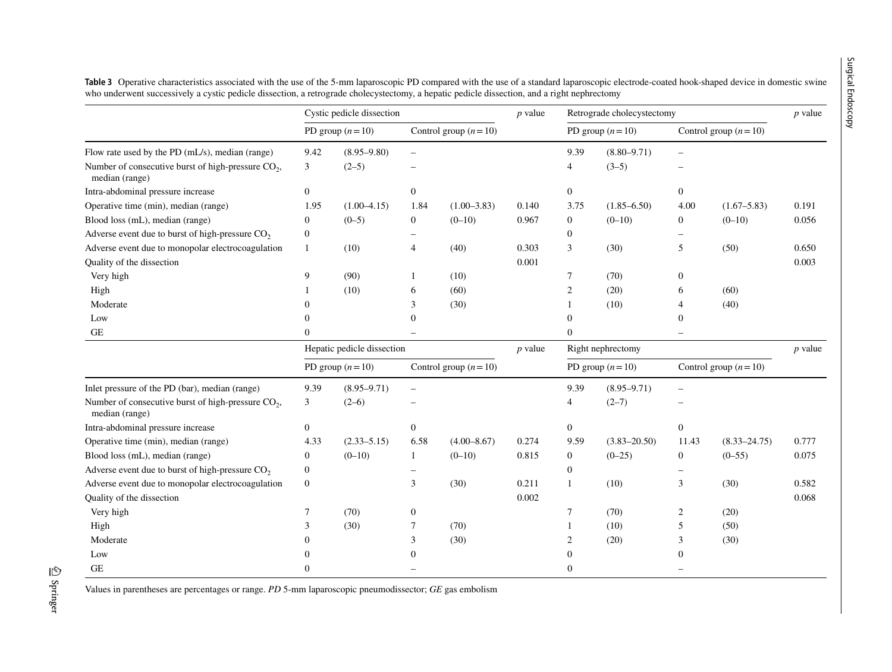|                                                                                  | Cystic pedicle dissection |                            |                          | $p$ value       | Retrograde cholecystectomy |                   |                   | $p$ value              |                  |           |
|----------------------------------------------------------------------------------|---------------------------|----------------------------|--------------------------|-----------------|----------------------------|-------------------|-------------------|------------------------|------------------|-----------|
| Flow rate used by the PD (mL/s), median (range)                                  | PD group $(n=10)$         |                            | Control group $(n=10)$   |                 |                            | PD group $(n=10)$ |                   | Control group $(n=10)$ |                  |           |
|                                                                                  | 9.42                      | $(8.95 - 9.80)$            |                          |                 |                            | 9.39              | $(8.80 - 9.71)$   |                        |                  |           |
| Number of consecutive burst of high-pressure CO <sub>2</sub> ,<br>median (range) | 3                         | $(2-5)$                    |                          |                 |                            | 4                 | $(3-5)$           |                        |                  |           |
| Intra-abdominal pressure increase                                                | $\boldsymbol{0}$          |                            | $\mathbf{0}$             |                 |                            | $\mathbf{0}$      |                   | $\boldsymbol{0}$       |                  |           |
| Operative time (min), median (range)                                             | 1.95                      | $(1.00-4.15)$              | 1.84                     | $(1.00 - 3.83)$ | 0.140                      | 3.75              | $(1.85 - 6.50)$   | 4.00                   | $(1.67 - 5.83)$  | 0.191     |
| Blood loss (mL), median (range)                                                  | $\boldsymbol{0}$          | $(0-5)$                    | $\boldsymbol{0}$         | $(0-10)$        | 0.967                      | $\boldsymbol{0}$  | $(0-10)$          | $\boldsymbol{0}$       | $(0-10)$         | 0.056     |
| Adverse event due to burst of high-pressure $CO2$                                | $\boldsymbol{0}$          |                            |                          |                 |                            | $\boldsymbol{0}$  |                   |                        |                  |           |
| Adverse event due to monopolar electrocoagulation                                | $\mathbf{1}$              | (10)                       | $\overline{4}$           | (40)            | 0.303                      | 3                 | (30)              | 5                      | (50)             | 0.650     |
| Quality of the dissection                                                        |                           |                            |                          |                 | 0.001                      |                   |                   |                        |                  | 0.003     |
| Very high                                                                        | 9                         | (90)                       | -1                       | (10)            |                            | 7                 | (70)              | $\theta$               |                  |           |
| High                                                                             |                           | (10)                       | 6                        | (60)            |                            | 2                 | (20)              | 6                      | (60)             |           |
| Moderate                                                                         |                           |                            | 3                        | (30)            |                            |                   | (10)              | 4                      | (40)             |           |
| Low                                                                              |                           |                            | $\Omega$                 |                 |                            | $\Omega$          |                   | $\Omega$               |                  |           |
| $\operatorname{GE}$                                                              | $\Omega$                  |                            |                          |                 |                            | $\Omega$          |                   |                        |                  |           |
|                                                                                  |                           | Hepatic pedicle dissection |                          |                 | $p$ value                  |                   | Right nephrectomy |                        |                  | $p$ value |
|                                                                                  | PD group $(n=10)$         |                            | Control group $(n=10)$   |                 |                            | PD group $(n=10)$ |                   | Control group $(n=10)$ |                  |           |
| Inlet pressure of the PD (bar), median (range)                                   | 9.39                      | $(8.95 - 9.71)$            | $\overline{\phantom{0}}$ |                 |                            | 9.39              | $(8.95 - 9.71)$   | $\qquad \qquad -$      |                  |           |
| Number of consecutive burst of high-pressure CO <sub>2</sub> ,<br>median (range) | 3                         | $(2-6)$                    |                          |                 |                            | 4                 | $(2-7)$           |                        |                  |           |
| Intra-abdominal pressure increase                                                | $\mathbf{0}$              |                            | $\overline{0}$           |                 |                            | $\overline{0}$    |                   | $\boldsymbol{0}$       |                  |           |
| Operative time (min), median (range)                                             | 4.33                      | $(2.33 - 5.15)$            | 6.58                     | $(4.00 - 8.67)$ | 0.274                      | 9.59              | $(3.83 - 20.50)$  | 11.43                  | $(8.33 - 24.75)$ | 0.777     |
| Blood loss (mL), median (range)                                                  | $\boldsymbol{0}$          | $(0-10)$                   | 1                        | $(0-10)$        | 0.815                      | $\mathbf{0}$      | $(0-25)$          | $\boldsymbol{0}$       | $(0-55)$         | 0.075     |
| Adverse event due to burst of high-pressure $CO2$                                | $\boldsymbol{0}$          |                            |                          |                 |                            | $\overline{0}$    |                   |                        |                  |           |
| Adverse event due to monopolar electrocoagulation                                | $\mathbf{0}$              |                            | 3                        | (30)            | 0.211                      |                   | (10)              | 3                      | (30)             | 0.582     |
| Quality of the dissection                                                        |                           |                            |                          |                 | 0.002                      |                   |                   |                        |                  | 0.068     |
| Very high                                                                        | 7                         | (70)                       | $\boldsymbol{0}$         |                 |                            | 7                 | (70)              | 2                      | (20)             |           |
| High                                                                             | 3                         | (30)                       | 7                        | (70)            |                            |                   | (10)              | 5                      | (50)             |           |
| Moderate                                                                         |                           |                            | 3                        | (30)            |                            | 2                 | (20)              | 3                      | (30)             |           |
| Low                                                                              |                           |                            | $\mathbf{0}$             |                 |                            | $\Omega$          |                   | $\mathbf{0}$           |                  |           |
| <b>GE</b>                                                                        | $\Omega$                  |                            |                          |                 |                            | 0                 |                   |                        |                  |           |

**Table 3** Operative characteristics associated with the use of the 5-mm laparoscopic PD compared with the use of a standard laparoscopic electrode-coated hook-shaped device in domestic swine who underwent successively a cystic pedicle dissection, a retrograde cholecystectomy, a hepatic pedicle dissection, and a right nephrectomy

<span id="page-6-0"></span>Values in parentheses are percentages or range. *PD* 5-mm laparoscopic pneumodissector; *GE* gas embolism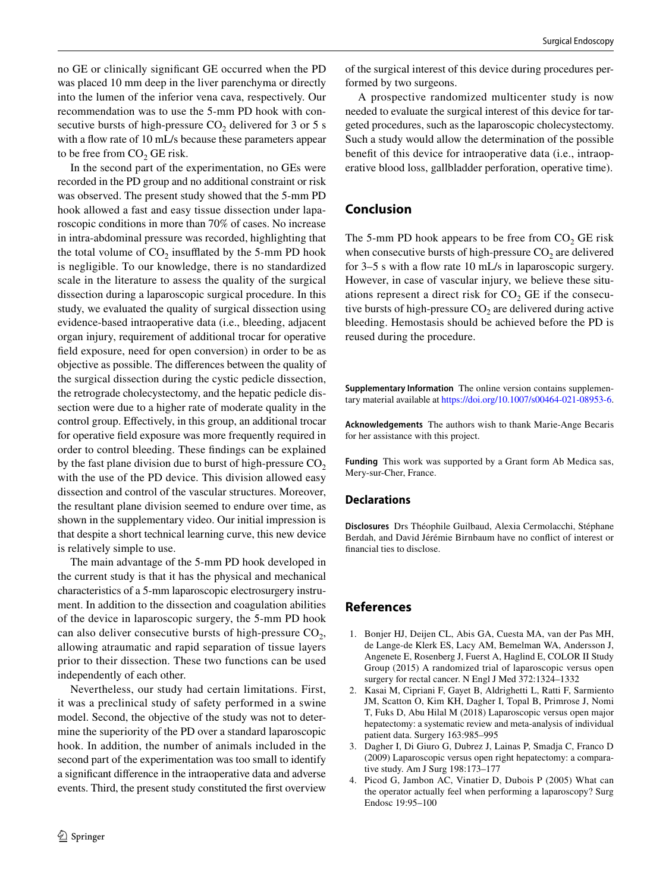no GE or clinically significant GE occurred when the PD was placed 10 mm deep in the liver parenchyma or directly into the lumen of the inferior vena cava, respectively. Our recommendation was to use the 5-mm PD hook with consecutive bursts of high-pressure  $CO<sub>2</sub>$  delivered for 3 or 5 s with a flow rate of 10 mL/s because these parameters appear to be free from  $CO<sub>2</sub>$  GE risk.

In the second part of the experimentation, no GEs were recorded in the PD group and no additional constraint or risk was observed. The present study showed that the 5-mm PD hook allowed a fast and easy tissue dissection under laparoscopic conditions in more than 70% of cases. No increase in intra-abdominal pressure was recorded, highlighting that the total volume of  $CO<sub>2</sub>$  insufflated by the 5-mm PD hook is negligible. To our knowledge, there is no standardized scale in the literature to assess the quality of the surgical dissection during a laparoscopic surgical procedure. In this study, we evaluated the quality of surgical dissection using evidence-based intraoperative data (i.e., bleeding, adjacent organ injury, requirement of additional trocar for operative field exposure, need for open conversion) in order to be as objective as possible. The differences between the quality of the surgical dissection during the cystic pedicle dissection, the retrograde cholecystectomy, and the hepatic pedicle dissection were due to a higher rate of moderate quality in the control group. Effectively, in this group, an additional trocar for operative field exposure was more frequently required in order to control bleeding. These findings can be explained by the fast plane division due to burst of high-pressure  $CO<sub>2</sub>$ with the use of the PD device. This division allowed easy dissection and control of the vascular structures. Moreover, the resultant plane division seemed to endure over time, as shown in the supplementary video. Our initial impression is that despite a short technical learning curve, this new device is relatively simple to use.

The main advantage of the 5-mm PD hook developed in the current study is that it has the physical and mechanical characteristics of a 5-mm laparoscopic electrosurgery instrument. In addition to the dissection and coagulation abilities of the device in laparoscopic surgery, the 5-mm PD hook can also deliver consecutive bursts of high-pressure  $CO<sub>2</sub>$ , allowing atraumatic and rapid separation of tissue layers prior to their dissection. These two functions can be used independently of each other.

Nevertheless, our study had certain limitations. First, it was a preclinical study of safety performed in a swine model. Second, the objective of the study was not to determine the superiority of the PD over a standard laparoscopic hook. In addition, the number of animals included in the second part of the experimentation was too small to identify a significant difference in the intraoperative data and adverse events. Third, the present study constituted the first overview of the surgical interest of this device during procedures performed by two surgeons.

A prospective randomized multicenter study is now needed to evaluate the surgical interest of this device for targeted procedures, such as the laparoscopic cholecystectomy. Such a study would allow the determination of the possible benefit of this device for intraoperative data (i.e., intraoperative blood loss, gallbladder perforation, operative time).

# **Conclusion**

The 5-mm PD hook appears to be free from  $CO<sub>2</sub>$  GE risk when consecutive bursts of high-pressure  $CO<sub>2</sub>$  are delivered for 3–5 s with a flow rate 10 mL/s in laparoscopic surgery. However, in case of vascular injury, we believe these situations represent a direct risk for  $CO<sub>2</sub> GE$  if the consecutive bursts of high-pressure  $CO<sub>2</sub>$  are delivered during active bleeding. Hemostasis should be achieved before the PD is reused during the procedure.

**Supplementary Information** The online version contains supplementary material available at<https://doi.org/10.1007/s00464-021-08953-6>.

**Acknowledgements** The authors wish to thank Marie-Ange Becaris for her assistance with this project.

**Funding** This work was supported by a Grant form Ab Medica sas, Mery-sur-Cher, France.

#### **Declarations**

**Disclosures** Drs Théophile Guilbaud, Alexia Cermolacchi, Stéphane Berdah, and David Jérémie Birnbaum have no conflict of interest or financial ties to disclose.

### **References**

- <span id="page-7-0"></span>1. Bonjer HJ, Deijen CL, Abis GA, Cuesta MA, van der Pas MH, de Lange-de Klerk ES, Lacy AM, Bemelman WA, Andersson J, Angenete E, Rosenberg J, Fuerst A, Haglind E, COLOR II Study Group (2015) A randomized trial of laparoscopic versus open surgery for rectal cancer. N Engl J Med 372:1324–1332
- 2. Kasai M, Cipriani F, Gayet B, Aldrighetti L, Ratti F, Sarmiento JM, Scatton O, Kim KH, Dagher I, Topal B, Primrose J, Nomi T, Fuks D, Abu Hilal M (2018) Laparoscopic versus open major hepatectomy: a systematic review and meta-analysis of individual patient data. Surgery 163:985–995
- <span id="page-7-1"></span>3. Dagher I, Di Giuro G, Dubrez J, Lainas P, Smadja C, Franco D (2009) Laparoscopic versus open right hepatectomy: a comparative study. Am J Surg 198:173–177
- <span id="page-7-2"></span>4. Picod G, Jambon AC, Vinatier D, Dubois P (2005) What can the operator actually feel when performing a laparoscopy? Surg Endosc 19:95–100